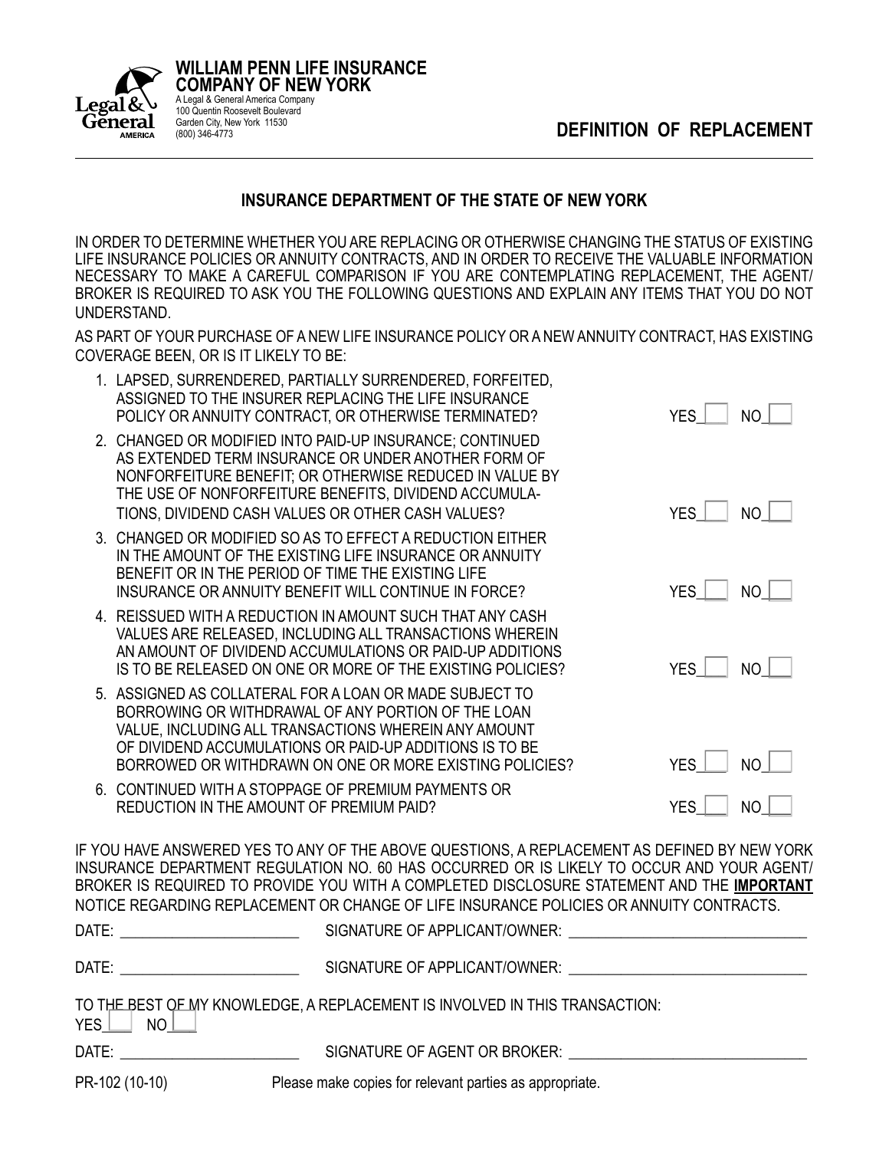**DEFINITION OF REPLACEMENT**



IN ORDER TO DETERMINE WHETHER YOU ARE REPLACING OR OTHERWISE CHANGING THE STATUS OF EXISTING LIFE INSURANCE POLICIES OR ANNUITY CONTRACTS, AND IN ORDER TO RECEIVE THE VALUABLE INFORMATION NECESSARY TO MAKE A CAREFUL COMPARISON IF YOU ARE CONTEMPLATING REPLACEMENT, THE AGENT/ BROKER IS REQUIRED TO ASK YOU THE FOLLOWING QUESTIONS AND EXPLAIN ANY ITEMS THAT YOU DO NOT UNDERSTAND.

AS PART OF YOUR PURCHASE OF A NEW LIFE INSURANCE POLICY OR A NEW ANNUITY CONTRACT, HAS EXISTING COVERAGE BEEN, OR IS IT LIKELY TO BE:

| 1. LAPSED, SURRENDERED, PARTIALLY SURRENDERED, FORFEITED,<br>ASSIGNED TO THE INSURER REPLACING THE LIFE INSURANCE<br>POLICY OR ANNUITY CONTRACT, OR OTHERWISE TERMINATED?                                                                                                                            | <b>YES</b> | NO          |
|------------------------------------------------------------------------------------------------------------------------------------------------------------------------------------------------------------------------------------------------------------------------------------------------------|------------|-------------|
| 2. CHANGED OR MODIFIED INTO PAID-UP INSURANCE; CONTINUED<br>AS EXTENDED TERM INSURANCE OR UNDER ANOTHER FORM OF<br>NONFORFEITURE BENEFIT; OR OTHERWISE REDUCED IN VALUE BY<br>THE USE OF NONFORFEITURE BENEFITS, DIVIDEND ACCUMULA-<br>TIONS, DIVIDEND CASH VALUES OR OTHER CASH VALUES?             | <b>YES</b> | <b>NO</b>   |
| 3. CHANGED OR MODIFIED SO AS TO EFFECT A REDUCTION EITHER<br>IN THE AMOUNT OF THE EXISTING LIFE INSURANCE OR ANNUITY<br>BENEFIT OR IN THE PERIOD OF TIME THE EXISTING LIFE<br>INSURANCE OR ANNUITY BENEFIT WILL CONTINUE IN FORCE?                                                                   | <b>YES</b> | NO.         |
| 4. REISSUED WITH A REDUCTION IN AMOUNT SUCH THAT ANY CASH<br>VALUES ARE RELEASED, INCLUDING ALL TRANSACTIONS WHEREIN<br>AN AMOUNT OF DIVIDEND ACCUMULATIONS OR PAID-UP ADDITIONS<br>IS TO BE RELEASED ON ONE OR MORE OF THE EXISTING POLICIES?                                                       | <b>YES</b> | NO          |
| 5. ASSIGNED AS COLLATERAL FOR A LOAN OR MADE SUBJECT TO<br>BORROWING OR WITHDRAWAL OF ANY PORTION OF THE LOAN<br>VALUE, INCLUDING ALL TRANSACTIONS WHEREIN ANY AMOUNT<br>OF DIVIDEND ACCUMULATIONS OR PAID-UP ADDITIONS IS TO BE<br>BORROWED OR WITHDRAWN ON ONE OR MORE EXISTING POLICIES?          | YES        | $NO$ $\Box$ |
| 6. CONTINUED WITH A STOPPAGE OF PREMIUM PAYMENTS OR<br>REDUCTION IN THE AMOUNT OF PREMIUM PAID?                                                                                                                                                                                                      | YES        | NO          |
| IF YOU HAVE ANSWERED YES TO ANY OF THE ABOVE QUESTIONS, A REPLACEMENT AS DEFINED BY NEW YORK<br>INSURANCE DEPARTMENT REGULATION NO. 60 HAS OCCURRED OR IS LIKELY TO OCCUR AND YOUR AGENT/<br>BROKER IS REQUIRED TO PROVIDE YOU WITH A COMPLETED DISCLOSURE STATEMENT AND THE <u>I<b>MPORTANT</b></u> |            |             |

NOTICE REGARDING REPLACEMENT OR CHANGE OF LIFE INSURANCE POLICIES OR ANNUITY CONTRACTS. DATE: \_\_\_\_\_\_\_\_\_\_\_\_\_\_\_\_\_\_\_\_\_\_\_\_ SIGNATURE OF APPLICANT/OWNER: \_\_\_\_\_\_\_\_\_\_\_\_\_\_\_\_\_\_\_\_\_\_\_\_\_\_\_\_\_\_\_\_ DATE: \_\_\_\_\_\_\_\_\_\_\_\_\_\_\_\_\_\_\_\_\_\_\_\_ SIGNATURE OF APPLICANT/OWNER: \_\_\_\_\_\_\_\_\_\_\_\_\_\_\_\_\_\_\_\_\_\_\_\_\_\_\_\_\_\_\_\_ TO THE BEST OF MY KNOWLEDGE, A REPLACEMENT IS INVOLVED IN THIS TRANSACTION:  $YES$   $\Box$  NO  $\Box$ DATE: \_\_\_\_\_\_\_\_\_\_\_\_\_\_\_\_\_\_\_\_\_\_\_\_ SIGNATURE OF AGENT OR BROKER: \_\_\_\_\_\_\_\_\_\_\_\_\_\_\_\_\_\_\_\_\_\_\_\_\_\_\_\_\_\_\_\_

PR-102 (10-10) Please make copies for relevant parties as appropriate.